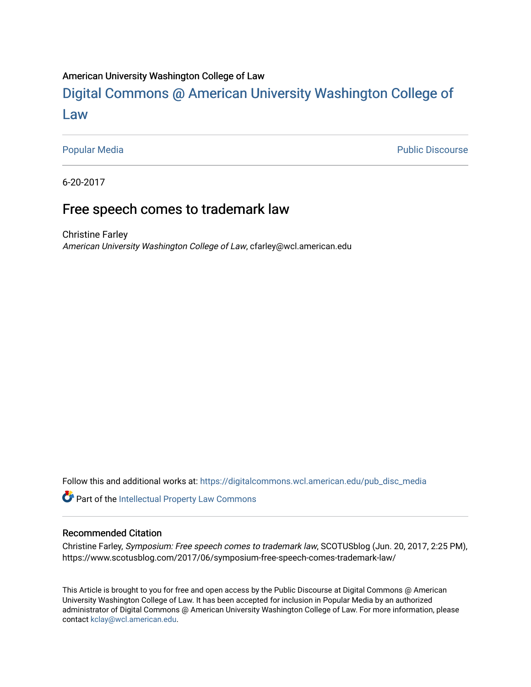#### American University Washington College of Law

## [Digital Commons @ American University Washington College of](https://digitalcommons.wcl.american.edu/)  [Law](https://digitalcommons.wcl.american.edu/)

[Popular Media](https://digitalcommons.wcl.american.edu/pub_disc_media) **Public Discourse** 

6-20-2017

### Free speech comes to trademark law

Christine Farley American University Washington College of Law, cfarley@wcl.american.edu

Follow this and additional works at: [https://digitalcommons.wcl.american.edu/pub\\_disc\\_media](https://digitalcommons.wcl.american.edu/pub_disc_media?utm_source=digitalcommons.wcl.american.edu%2Fpub_disc_media%2F410&utm_medium=PDF&utm_campaign=PDFCoverPages)

Part of the [Intellectual Property Law Commons](http://network.bepress.com/hgg/discipline/896?utm_source=digitalcommons.wcl.american.edu%2Fpub_disc_media%2F410&utm_medium=PDF&utm_campaign=PDFCoverPages) 

#### Recommended Citation

Christine Farley, Symposium: Free speech comes to trademark law, SCOTUSblog (Jun. 20, 2017, 2:25 PM), https://www.scotusblog.com/2017/06/symposium-free-speech-comes-trademark-law/

This Article is brought to you for free and open access by the Public Discourse at Digital Commons @ American University Washington College of Law. It has been accepted for inclusion in Popular Media by an authorized administrator of Digital Commons @ American University Washington College of Law. For more information, please contact [kclay@wcl.american.edu.](mailto:kclay@wcl.american.edu)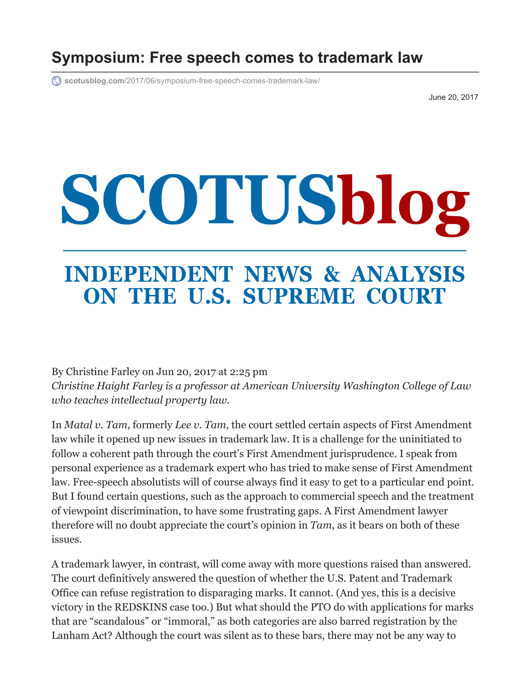## **Symposium: Free speech comes to trademark law**

**scotusblog.com**[/2017/06/symposium-free-speech-comes-trademark-law/](https://www.scotusblog.com/2017/06/symposium-free-speech-comes-trademark-law/)

June 20, 2017

# SCOTUSblog

## **INDEPENDENT NEWS & ANALYSIS** ON THE U.S. SUPREME COURT

By [Christine Farley](https://www.scotusblog.com/author/christine-farley/) on Jun 20, 2017 at 2:25 pm *Christine Haight Farley is a professor at American University Washington College of Law who teaches intellectual property law.* 

In *[Matal v. Tam](https://casetext.com/case/matal-v-tam?ref=Sb!fto8Qe)*, formerly *Lee v. Tam*, the court settled certain aspects of First Amendment law while it opened up new issues in trademark law. It is a challenge for the uninitiated to follow a coherent path through the court's First Amendment jurisprudence. I speak from personal experience as a trademark expert who has tried to make sense of First Amendment law. Free-speech absolutists will of course always find it easy to get to a particular end point. But I found certain questions, such as the approach to commercial speech and the treatment of viewpoint discrimination, to have some frustrating gaps. A First Amendment lawyer therefore will no doubt appreciate the court's opinion in *Tam*, as it bears on both of these issues.

A trademark lawyer, in contrast, will come away with more questions raised than answered. The court definitively answered the question of whether the U.S. Patent and Trademark Office can refuse registration to disparaging marks. It cannot. (And yes, this is a decisive victory in the REDSKINS case too.) But what should the PTO do with applications for marks that are "scandalous" or "immoral," as both categories are also barred registration by the Lanham Act? Although the court was silent as to these bars, there may not be any way to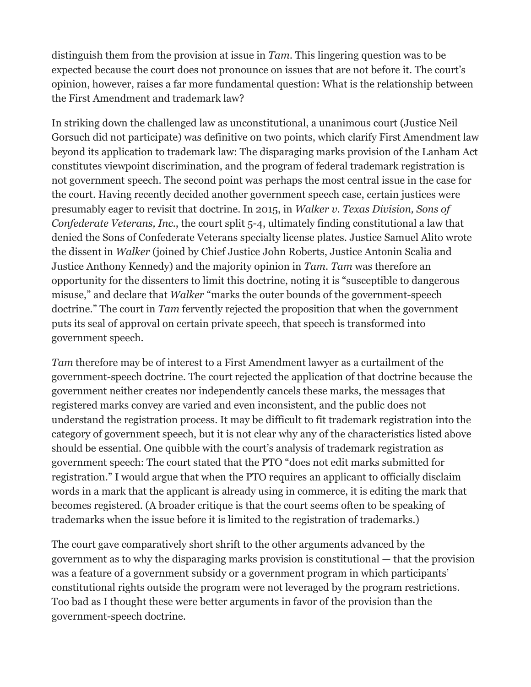distinguish them from the provision at issue in *Tam*. This lingering question was to be expected because the court does not pronounce on issues that are not before it. The court's opinion, however, raises a far more fundamental question: What is the relationship between the First Amendment and trademark law?

In striking down the challenged law as unconstitutional, a unanimous court (Justice Neil Gorsuch did not participate) was definitive on two points, which clarify First Amendment law beyond its application to trademark law: The disparaging marks provision of the Lanham Act constitutes viewpoint discrimination, and the program of federal trademark registration is not government speech. The second point was perhaps the most central issue in the case for the court. Having recently decided another government speech case, certain justices were presumably eager to revisit that doctrine. In 2015, in *Walker v. Texas Division, Sons of Confederate Veterans, Inc.*[, the court split 5-4, ultimately finding constitutional a law th](https://casetext.com/case/walker-v-tex-div-sons-of-confederate-veterans-inc?ref=Sb!GN7E2Y)at denied the Sons of Confederate Veterans specialty license plates. Justice Samuel Alito wrote the dissent in *Walker* (joined by Chief Justice John Roberts, Justice Antonin Scalia and Justice Anthony Kennedy) and the majority opinion in *Tam*. *Tam* was therefore an opportunity for the dissenters to limit this doctrine, noting it is "susceptible to dangerous misuse," and declare that *Walker* "marks the outer bounds of the government-speech doctrine." The court in *Tam* fervently rejected the proposition that when the government puts its seal of approval on certain private speech, that speech is transformed into government speech.

*Tam* therefore may be of interest to a First Amendment lawyer as a curtailment of the government-speech doctrine. The court rejected the application of that doctrine because the government neither creates nor independently cancels these marks, the messages that registered marks convey are varied and even inconsistent, and the public does not understand the registration process. It may be difficult to fit trademark registration into the category of government speech, but it is not clear why any of the characteristics listed above should be essential. One quibble with the court's analysis of trademark registration as government speech: The court stated that the PTO "does not edit marks submitted for registration." I would argue that when the PTO requires an applicant to officially disclaim words in a mark that the applicant is already using in commerce, it is editing the mark that becomes registered. (A broader critique is that the court seems often to be speaking of trademarks when the issue before it is limited to the registration of trademarks.)

The court gave comparatively short shrift to the other arguments advanced by the government as to why the disparaging marks provision is constitutional — that the provision was a feature of a government subsidy or a government program in which participants' constitutional rights outside the program were not leveraged by the program restrictions. Too bad as I thought these were better arguments in favor of the provision than the government-speech doctrine.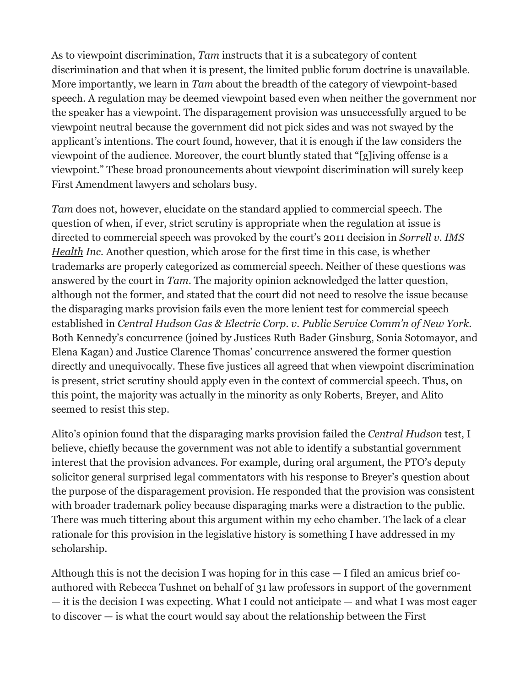As to viewpoint discrimination, *Tam* instructs that it is a subcategory of content discrimination and that when it is present, the limited public forum doctrine is unavailable. More importantly, we learn in *Tam* about the breadth of the category of viewpoint-based speech. A regulation may be deemed viewpoint based even when neither the government nor the speaker has a viewpoint. The disparagement provision was unsuccessfully argued to be viewpoint neutral because the government did not pick sides and was not swayed by the applicant's intentions. The court found, however, that it is enough if the law considers the viewpoint of the audience. Moreover, the court bluntly stated that "[g]iving offense is a viewpoint." These broad pronouncements about viewpoint discrimination will surely keep First Amendment lawyers and scholars busy.

*Tam* does not, however, elucidate on the standard applied to commercial speech. The question of when, if ever, strict scrutiny is appropriate when the regulation at issue is [directed to commercial speech was provoked by the court's 2011 decision in](https://casetext.com/case/sorrell-v-ims-health-inc-4?ref=Sb!JGQw0X) *Sorrell v. IMS Health Inc.* Another question, which arose for the first time in this case, is whether trademarks are properly categorized as commercial speech. Neither of these questions was answered by the court in *Tam*. The majority opinion acknowledged the latter question, although not the former, and stated that the court did not need to resolve the issue because the disparaging marks provision fails even the more lenient test for commercial speech established in *[Central Hudson Gas & Electric Corp. v. Public Service Comm'n of New York](https://www.law.cornell.edu/supremecourt/text/447/557)*. Both Kennedy's concurrence (joined by Justices Ruth Bader Ginsburg, Sonia Sotomayor, and Elena Kagan) and Justice Clarence Thomas' concurrence answered the former question directly and unequivocally. These five justices all agreed that when viewpoint discrimination is present, strict scrutiny should apply even in the context of commercial speech. Thus, on this point, the majority was actually in the minority as only Roberts, Breyer, and Alito seemed to resist this step.

Alito's opinion found that the disparaging marks provision failed the *Central Hudson* test, I believe, chiefly because the government was not able to identify a substantial government interest that the provision advances. For example, during oral argument, the PTO's deputy solicitor general surprised legal commentators with his response to Breyer's question about the purpose of the disparagement provision. He responded that the provision was consistent with broader trademark policy because disparaging marks were a distraction to the public. There was much tittering about this argument within my echo chamber. The lack of a clear rationale for this provision in the legislative history is something I have addressed in my [scholarship.](https://papers.ssrn.com/sol3/papers.cfm?abstract_id=2443423)

Although this is not the decision I was hoping for in this case — I filed an [amicus brief](https://papers.ssrn.com/sol3/papers.cfm?abstract_id=2906286) coauthored with Rebecca Tushnet on behalf of 31 law professors in support of the government — it is the decision I was expecting. What I could not anticipate — and what I was most eager to discover — is what the court would say about the relationship between the First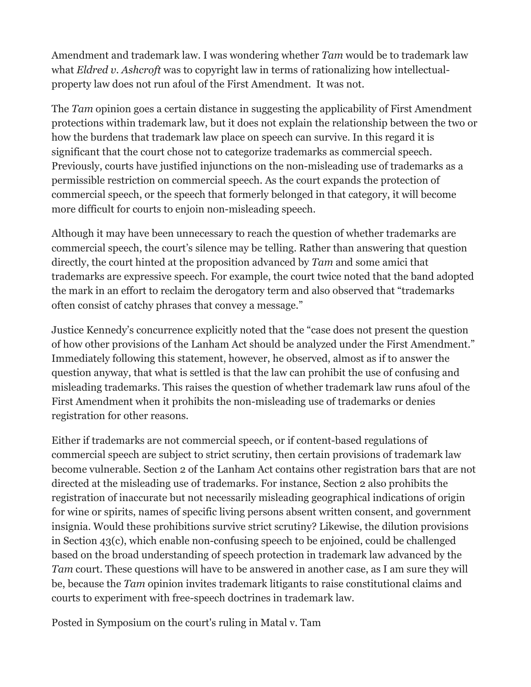Amendment and trademark law. I was wondering whether *Tam* would be to trademark law what *[Eldred v. Ashcroft](https://www.law.cornell.edu/supct/html/01-618.ZO.html)* was to copyright law in terms of rationalizing how intellectualproperty law does not run afoul of the First Amendment. It was not.

The *Tam* opinion goes a certain distance in suggesting the applicability of First Amendment protections within trademark law, but it does not explain the relationship between the two or how the burdens that trademark law place on speech can survive. In this regard it is significant that the court chose not to categorize trademarks as commercial speech. Previously, courts have justified injunctions on the non-misleading use of trademarks as a permissible restriction on commercial speech. As the court expands the protection of commercial speech, or the speech that formerly belonged in that category, it will become more difficult for courts to enjoin non-misleading speech.

Although it may have been unnecessary to reach the question of whether trademarks are commercial speech, the court's silence may be telling. Rather than answering that question directly, the court hinted at the proposition advanced by *Tam* and some amici that trademarks are expressive speech. For example, the court twice noted that the band adopted the mark in an effort to reclaim the derogatory term and also observed that "trademarks often consist of catchy phrases that convey a message."

Justice Kennedy's concurrence explicitly noted that the "case does not present the question of how other provisions of the Lanham Act should be analyzed under the First Amendment." Immediately following this statement, however, he observed, almost as if to answer the question anyway, that what is settled is that the law can prohibit the use of confusing and misleading trademarks. This raises the question of whether trademark law runs afoul of the First Amendment when it prohibits the non-misleading use of trademarks or denies registration for other reasons.

Either if trademarks are not commercial speech, or if content-based regulations of commercial speech are subject to strict scrutiny, then certain provisions of trademark law become vulnerable. Section 2 of the Lanham Act contains other registration bars that are not directed at the misleading use of trademarks. For instance, Section 2 also prohibits the registration of inaccurate but not necessarily misleading geographical indications of origin for wine or spirits, names of specific living persons absent written consent, and government insignia. Would these prohibitions survive strict scrutiny? Likewise, the dilution provisions in Section 43(c), which enable non-confusing speech to be enjoined, could be challenged based on the broad understanding of speech protection in trademark law advanced by the *Tam* court. These questions will have to be answered in another case, as I am sure they will be, because the *Tam* opinion invites trademark litigants to raise constitutional claims and courts to experiment with free-speech doctrines in trademark law.

Posted in [Symposium on the court's ruling in Matal v. Tam](https://www.scotusblog.com/category/special-features/symposia-on-rulings-from-october-term-2016/symposium-on-the-courts-ruling-in-matal-v-tam/)